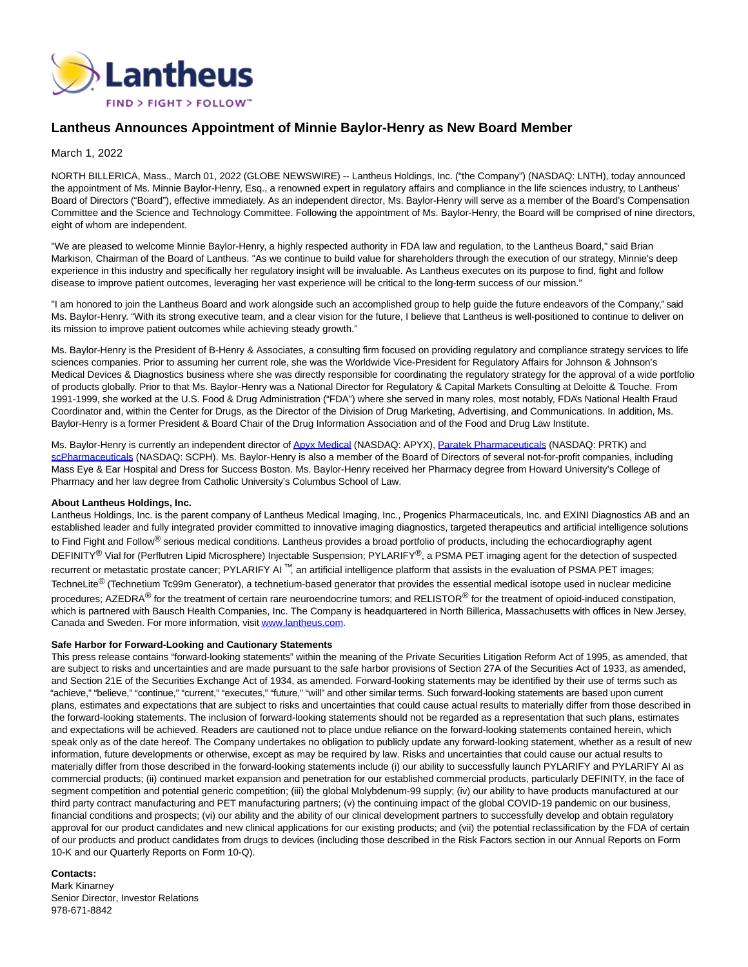

# **Lantheus Announces Appointment of Minnie Baylor-Henry as New Board Member**

## March 1, 2022

NORTH BILLERICA, Mass., March 01, 2022 (GLOBE NEWSWIRE) -- Lantheus Holdings, Inc. ("the Company") (NASDAQ: LNTH), today announced the appointment of Ms. Minnie Baylor-Henry, Esq., a renowned expert in regulatory affairs and compliance in the life sciences industry, to Lantheus' Board of Directors ("Board"), effective immediately. As an independent director, Ms. Baylor-Henry will serve as a member of the Board's Compensation Committee and the Science and Technology Committee. Following the appointment of Ms. Baylor-Henry, the Board will be comprised of nine directors, eight of whom are independent.

"We are pleased to welcome Minnie Baylor-Henry, a highly respected authority in FDA law and regulation, to the Lantheus Board," said Brian Markison, Chairman of the Board of Lantheus. "As we continue to build value for shareholders through the execution of our strategy, Minnie's deep experience in this industry and specifically her regulatory insight will be invaluable. As Lantheus executes on its purpose to find, fight and follow disease to improve patient outcomes, leveraging her vast experience will be critical to the long-term success of our mission."

"I am honored to join the Lantheus Board and work alongside such an accomplished group to help guide the future endeavors of the Company," said Ms. Baylor-Henry. "With its strong executive team, and a clear vision for the future, I believe that Lantheus is well-positioned to continue to deliver on its mission to improve patient outcomes while achieving steady growth."

Ms. Baylor-Henry is the President of B-Henry & Associates, a consulting firm focused on providing regulatory and compliance strategy services to life sciences companies. Prior to assuming her current role, she was the Worldwide Vice-President for Regulatory Affairs for Johnson & Johnson's Medical Devices & Diagnostics business where she was directly responsible for coordinating the regulatory strategy for the approval of a wide portfolio of products globally. Prior to that Ms. Baylor-Henry was a National Director for Regulatory & Capital Markets Consulting at Deloitte & Touche. From 1991-1999, she worked at the U.S. Food & Drug Administration ("FDA") where she served in many roles, most notably, FDA's National Health Fraud Coordinator and, within the Center for Drugs, as the Director of the Division of Drug Marketing, Advertising, and Communications. In addition, Ms. Baylor-Henry is a former President & Board Chair of the Drug Information Association and of the Food and Drug Law Institute.

Ms. Baylor-Henry is currently an independent director o[f Apyx Medical \(](https://www.globenewswire.com/Tracker?data=xaYhwkIh3-aKQuBnz4v3A2hn2lmefg43mXb_vTS0k_Y_yLYuE8zYxhQN_xOVH9DZhw3h0tMxQFldeOhBo_htwQ==)NASDAQ: APYX), [Paratek Pharmaceuticals \(](https://www.globenewswire.com/Tracker?data=vHxAJs3v4IYbPh1rR9zYMw8BROy0MBT50mzc3f6eYXgYrDqD4wWYXqHi5vtXMxbqJMBFbw6FYW2CyWmvEg_-RG364vUb_CHWs61CRaDcFTA=)NASDAQ: PRTK) and [scPharmaceuticals \(](https://www.globenewswire.com/Tracker?data=FZcdtDMwLsLYkD6sik_dp9-DAgCK9lTt2F01jIQBOfU3-WVb4L3KoYxeRgG2AMWnSEg0NIez0fd_jHgSQ9tT7jBGTU7mY5nrMD4T1rlwANY=)NASDAQ: SCPH). Ms. Baylor-Henry is also a member of the Board of Directors of several not-for-profit companies, including Mass Eye & Ear Hospital and Dress for Success Boston. Ms. Baylor-Henry received her Pharmacy degree from Howard University's College of Pharmacy and her law degree from Catholic University's Columbus School of Law.

### **About Lantheus Holdings, Inc.**

Lantheus Holdings, Inc. is the parent company of Lantheus Medical Imaging, Inc., Progenics Pharmaceuticals, Inc. and EXINI Diagnostics AB and an established leader and fully integrated provider committed to innovative imaging diagnostics, targeted therapeutics and artificial intelligence solutions to Find Fight and Follow<sup>®</sup> serious medical conditions. Lantheus provides a broad portfolio of products, including the echocardiography agent DEFINITY<sup>®</sup> Vial for (Perflutren Lipid Microsphere) Injectable Suspension; PYLARIFY®, a PSMA PET imaging agent for the detection of suspected recurrent or metastatic prostate cancer; PYLARIFY AI<sup>™</sup>, an artificial intelligence platform that assists in the evaluation of PSMA PET images; TechneLite<sup>®</sup> (Technetium Tc99m Generator), a technetium-based generator that provides the essential medical isotope used in nuclear medicine procedures; AZEDRA<sup>®</sup> for the treatment of certain rare neuroendocrine tumors; and RELISTOR<sup>®</sup> for the treatment of opioid-induced constipation, which is partnered with Bausch Health Companies, Inc. The Company is headquartered in North Billerica, Massachusetts with offices in New Jersey, Canada and Sweden. For more information, visi[t www.lantheus.com.](https://www.globenewswire.com/Tracker?data=Kq0LNqI6Hf6QmZR683HMccEkXN6pOquDRzSfWNLqXwz_nKHmyX56ioktY1RXARx3LT20RYBOJ6l9J-QDIhMgxA==)

#### **Safe Harbor for Forward-Looking and Cautionary Statements**

This press release contains "forward-looking statements" within the meaning of the Private Securities Litigation Reform Act of 1995, as amended, that are subject to risks and uncertainties and are made pursuant to the safe harbor provisions of Section 27A of the Securities Act of 1933, as amended, and Section 21E of the Securities Exchange Act of 1934, as amended. Forward-looking statements may be identified by their use of terms such as "achieve," "believe," "continue," "current," "executes," "future," "will" and other similar terms. Such forward-looking statements are based upon current plans, estimates and expectations that are subject to risks and uncertainties that could cause actual results to materially differ from those described in the forward-looking statements. The inclusion of forward-looking statements should not be regarded as a representation that such plans, estimates and expectations will be achieved. Readers are cautioned not to place undue reliance on the forward-looking statements contained herein, which speak only as of the date hereof. The Company undertakes no obligation to publicly update any forward-looking statement, whether as a result of new information, future developments or otherwise, except as may be required by law. Risks and uncertainties that could cause our actual results to materially differ from those described in the forward-looking statements include (i) our ability to successfully launch PYLARIFY and PYLARIFY AI as commercial products; (ii) continued market expansion and penetration for our established commercial products, particularly DEFINITY, in the face of segment competition and potential generic competition; (iii) the global Molybdenum-99 supply; (iv) our ability to have products manufactured at our third party contract manufacturing and PET manufacturing partners; (v) the continuing impact of the global COVID-19 pandemic on our business, financial conditions and prospects; (vi) our ability and the ability of our clinical development partners to successfully develop and obtain regulatory approval for our product candidates and new clinical applications for our existing products; and (vii) the potential reclassification by the FDA of certain of our products and product candidates from drugs to devices (including those described in the Risk Factors section in our Annual Reports on Form 10-K and our Quarterly Reports on Form 10-Q).

### **Contacts:**

Mark Kinarney Senior Director, Investor Relations 978-671-8842